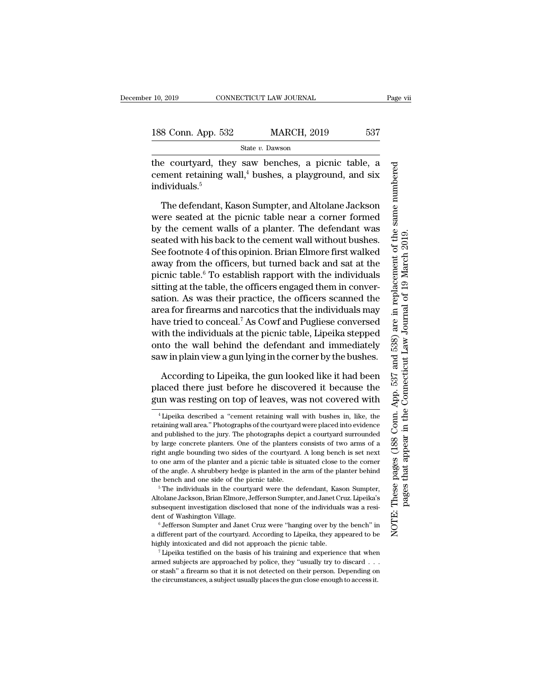188 Conn. App. 532 MARCH, 2019 537

State *v.* Dawson

the courtyard, they saw benches, a picnic table, a cement retaining wall, $4$  bushes, a playground, and six individuals.5

The defendant, Kason Sumpter, and Altolane Jackson were seated at the picnic table near a corner formed by the cement walls of a planter. The defendant was seated with his back to the cement wall without bushes. See footnote 4 of this opinion. Brian Elmore first walked away from the officers, but turned back and sat at the picnic table.6 To establish rapport with the individuals sitting at the table, the officers engaged them in conversation. As was their practice, the officers scanned the area for firearms and narcotics that the individuals may have tried to conceal.<sup>7</sup> As Cowf and Pugliese conversed with the individuals at the picnic table, Lipeika stepped onto the wall behind the defendant and immediately saw in plain view a gun lying in the corner by the bushes.

According to Lipeika, the gun looked like it had been placed there just before he discovered it because the gun was resting on top of leaves, was not covered with

 $6$  Jefferson Sumpter and Janet Cruz were "hanging over by the bench" in a different part of the courtyard. According to Lipeika, they appeared to be highly intoxicated and did not approach the picnic table.

<sup>7</sup> Lipeika testified on the basis of his training and experience that when armed subjects are approached by police, they ''usually try to discard . . . or stash'' a firearm so that it is not detected on their person. Depending on the circumstances, a subject usually places the gun close enough to access it.

These pages (188 Conn. App. 537 and 538) are in replacement of the same numbered NOTE: These pages (188 Conn. App. 537 and 538) are in replacement of the same numbered pages that appear in the Connecticut Law Journal of 19 March 2019. pages that appear in the Connecticut Law Journal of 19 March 2019.NOTE:

<sup>4</sup> Lipeika described a ''cement retaining wall with bushes in, like, the retaining wall area.'' Photographs of the courtyard were placed into evidence and published to the jury. The photographs depict a courtyard surrounded by large concrete planters. One of the planters consists of two arms of a right angle bounding two sides of the courtyard. A long bench is set next to one arm of the planter and a picnic table is situated close to the corner of the angle. A shrubbery hedge is planted in the arm of the planter behind the bench and one side of the picnic table.

<sup>&</sup>lt;sup>5</sup> The individuals in the courtyard were the defendant, Kason Sumpter, Altolane Jackson, Brian Elmore, Jefferson Sumpter, and Janet Cruz. Lipeika's subsequent investigation disclosed that none of the individuals was a resident of Washington Village.